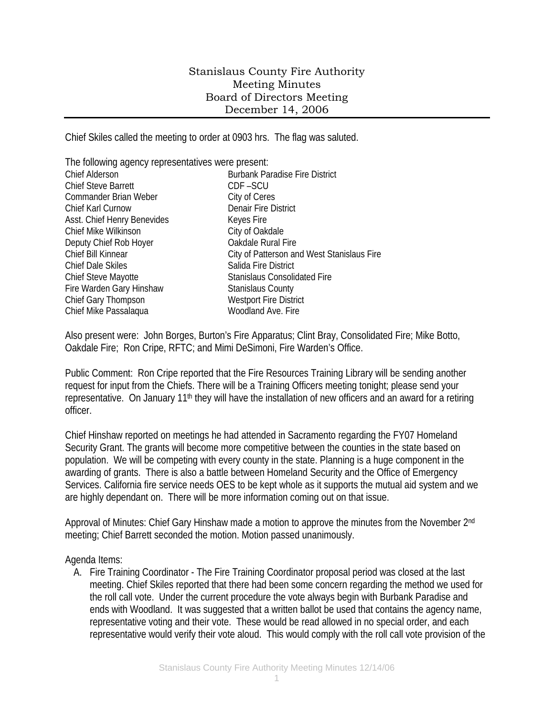## Stanislaus County Fire Authority Meeting Minutes Board of Directors Meeting December 14, 2006

Chief Skiles called the meeting to order at 0903 hrs. The flag was saluted.

| The following agency representatives were present: |                                            |
|----------------------------------------------------|--------------------------------------------|
| <b>Chief Alderson</b>                              | <b>Burbank Paradise Fire District</b>      |
| <b>Chief Steve Barrett</b>                         | CDF-SCU                                    |
| Commander Brian Weber                              | City of Ceres                              |
| Chief Karl Curnow                                  | <b>Denair Fire District</b>                |
| Asst. Chief Henry Benevides                        | Keyes Fire                                 |
| Chief Mike Wilkinson                               | City of Oakdale                            |
| Deputy Chief Rob Hoyer                             | Oakdale Rural Fire                         |
| Chief Bill Kinnear                                 | City of Patterson and West Stanislaus Fire |
| <b>Chief Dale Skiles</b>                           | Salida Fire District                       |
| Chief Steve Mayotte                                | Stanislaus Consolidated Fire               |
| Fire Warden Gary Hinshaw                           | <b>Stanislaus County</b>                   |
| Chief Gary Thompson                                | <b>Westport Fire District</b>              |
| Chief Mike Passalagua                              | Woodland Ave. Fire                         |

Also present were: John Borges, Burton's Fire Apparatus; Clint Bray, Consolidated Fire; Mike Botto, Oakdale Fire; Ron Cripe, RFTC; and Mimi DeSimoni, Fire Warden's Office.

Public Comment: Ron Cripe reported that the Fire Resources Training Library will be sending another request for input from the Chiefs. There will be a Training Officers meeting tonight; please send your representative. On January 11<sup>th</sup> they will have the installation of new officers and an award for a retiring officer.

Chief Hinshaw reported on meetings he had attended in Sacramento regarding the FY07 Homeland Security Grant. The grants will become more competitive between the counties in the state based on population. We will be competing with every county in the state. Planning is a huge component in the awarding of grants. There is also a battle between Homeland Security and the Office of Emergency Services. California fire service needs OES to be kept whole as it supports the mutual aid system and we are highly dependant on. There will be more information coming out on that issue.

Approval of Minutes: Chief Gary Hinshaw made a motion to approve the minutes from the November 2nd meeting; Chief Barrett seconded the motion. Motion passed unanimously.

## Agenda Items:

A. Fire Training Coordinator - The Fire Training Coordinator proposal period was closed at the last meeting. Chief Skiles reported that there had been some concern regarding the method we used for the roll call vote. Under the current procedure the vote always begin with Burbank Paradise and ends with Woodland. It was suggested that a written ballot be used that contains the agency name, representative voting and their vote. These would be read allowed in no special order, and each representative would verify their vote aloud. This would comply with the roll call vote provision of the

1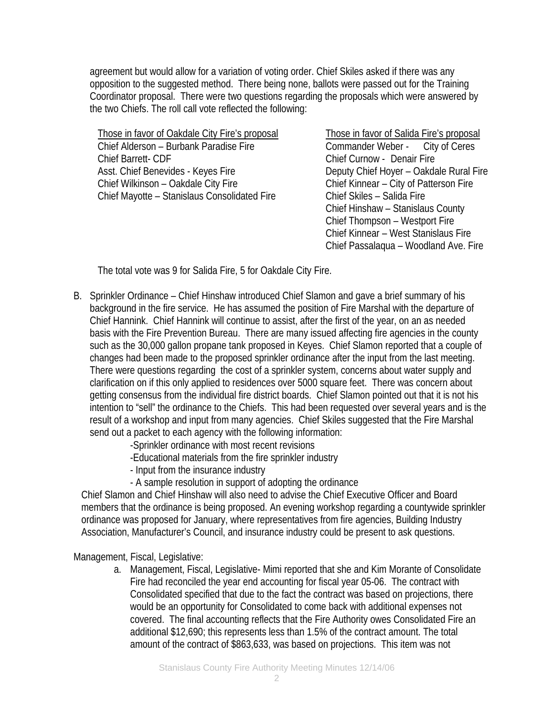agreement but would allow for a variation of voting order. Chief Skiles asked if there was any opposition to the suggested method. There being none, ballots were passed out for the Training Coordinator proposal. There were two questions regarding the proposals which were answered by the two Chiefs. The roll call vote reflected the following:

Those in favor of Oakdale City Fire's proposal Those in favor of Salida Fire's proposal Chief Alderson – Burbank Paradise Fire Commander Weber - City of Ceres Chief Barrett- CDF Chief Curnow - Denair Fire Asst. Chief Benevides - Keyes Fire **Deputy Chief Hoyer – Oakdale Rural Fire** Chief Wilkinson – Oakdale City Fire Chief Kinnear – City of Patterson Fire Chief Mayotte – Stanislaus Consolidated Fire Chief Skiles – Salida Fire

 Chief Hinshaw – Stanislaus County Chief Thompson – Westport Fire Chief Kinnear – West Stanislaus Fire Chief Passalaqua – Woodland Ave. Fire

The total vote was 9 for Salida Fire, 5 for Oakdale City Fire.

B. Sprinkler Ordinance – Chief Hinshaw introduced Chief Slamon and gave a brief summary of his background in the fire service. He has assumed the position of Fire Marshal with the departure of Chief Hannink. Chief Hannink will continue to assist, after the first of the year, on an as needed basis with the Fire Prevention Bureau. There are many issued affecting fire agencies in the county such as the 30,000 gallon propane tank proposed in Keyes. Chief Slamon reported that a couple of changes had been made to the proposed sprinkler ordinance after the input from the last meeting. There were questions regarding the cost of a sprinkler system, concerns about water supply and clarification on if this only applied to residences over 5000 square feet. There was concern about getting consensus from the individual fire district boards. Chief Slamon pointed out that it is not his intention to "sell" the ordinance to the Chiefs. This had been requested over several years and is the result of a workshop and input from many agencies. Chief Skiles suggested that the Fire Marshal send out a packet to each agency with the following information:

-Sprinkler ordinance with most recent revisions

-Educational materials from the fire sprinkler industry

- Input from the insurance industry
- A sample resolution in support of adopting the ordinance

Chief Slamon and Chief Hinshaw will also need to advise the Chief Executive Officer and Board members that the ordinance is being proposed. An evening workshop regarding a countywide sprinkler ordinance was proposed for January, where representatives from fire agencies, Building Industry Association, Manufacturer's Council, and insurance industry could be present to ask questions.

Management, Fiscal, Legislative:

a. Management, Fiscal, Legislative- Mimi reported that she and Kim Morante of Consolidate Fire had reconciled the year end accounting for fiscal year 05-06. The contract with Consolidated specified that due to the fact the contract was based on projections, there would be an opportunity for Consolidated to come back with additional expenses not covered. The final accounting reflects that the Fire Authority owes Consolidated Fire an additional \$12,690; this represents less than 1.5% of the contract amount. The total amount of the contract of \$863,633, was based on projections. This item was not